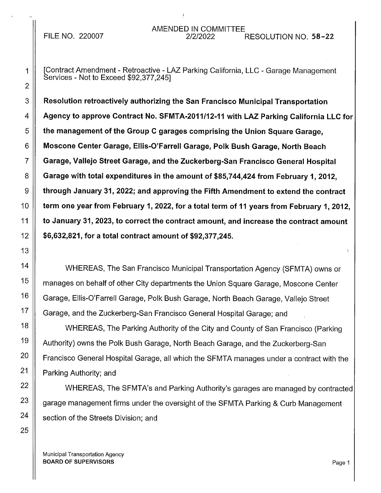[Contract Amendment - Retroactive - LAZ Parking California, LLC - Garage Management Services - Not to Exceed \$92,377,245]

 $3 \parallel~$  Resolution retroactively authorizing the San Francisco Municipal Transportation 4 Agency to approve Contract No. SFMTA-2011/12-11 with LAZ Parking California LLC for  $5 \parallel$  the management of the Group C garages comprising the Union Square Garage, 6 | Moscone Center Garage, Ellis-O'Farrell Garage, Polk Bush Garage, North Beach 7 Garage, Vallejo Street Garage, and the Zuckerberg-San Francisco General Hospital 8  $\parallel$  Garage with total expenditures in the amount of \$85,744,424 from February 1, 2012,  $9 \parallel$  through January 31, 2022; and approving the Fifth Amendment to extend the contract 10 | term one year from February 1, 2022, for a total term of 11 years from February 1, 2012, 11 | to January 31, 2023, to correct the contract amount, and increase the contract amount 12 \$6,632,821, for a total contract amount of \$92,377,245.

WHEREAS, The San Francisco Municipal Transportation Agency (SFMTA) owns or manages on behalf of other City departments the Union Square Garage, Moscone Center Garage, Ellis-O'Farrell Garage, Polk Bush Garage, North Beach Garage, Vallejo Street Garage, and the Zuckerberg-San Francisco General Hospital Garage; and

WHEREAS, The Parking Authority of the City and County of San Francisco (Parking Authority) owns the Polk Bush Garage, North Beach Garage, and the Zuckerberg-San Francisco General Hospital Garage, all which the SFMTA manages under a contract with the Parking Authority; and

WHEREAS, The SFMTA's and Parking Authority's garages are managed by contracted garage management firms under the oversight of the SFMTA Parking & Curb Management section of the Streets Division; and

Municipal Transportation Agency BOARD OF SUPERVISORS **Page 1**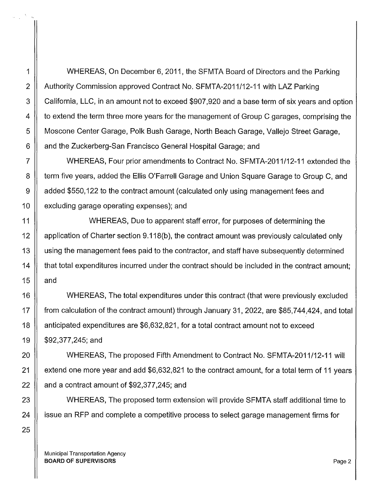1 WHEREAS, On December 6, 2011, the SFMTA Board of Directors and the Parking 2 | Authority Commission approved Contract No. SFMTA-2011/12-11 with LAZ Parking  $3 \parallel$  California, LLC, in an amount not to exceed \$907,920 and a base term of six years and option 4 | to extend the term three more years for the management of Group C garages, comprising the 5 | Moscone Center Garage, Polk Bush Garage, North Beach Garage, Vallejo Street Garage, 6 | and the Zuckerberg-San Francisco General Hospital Garage; and

7 WHEREAS, Four prior amendments to Contract No. SFMTA-2011/12-11 extended the 8 | term five years, added the Ellis O'Farrell Garage and Union Square Garage to Group C, and 9 | added \$550,122 to the contract amount (calculated only using management fees and 10 | excluding garage operating expenses); and

11 WHEREAS, Due to apparent staff error, for purposes of determining the 12 | application of Charter section 9.118(b), the contract amount was previously calculated only 13 | using the management fees paid to the contractor, and staff have subsequently determined 14 that total expenditures incurred under the contract should be included in the contract amount; 15  $\parallel$  and

16 WHEREAS, The total expenditures under this contract (that were previously excluded 17 from calculation of the contract amount) through January 31, 2022, are \$85, 7 44,424, and total 18 anticipated expenditures are \$6,632,821, for a total contract amount not to exceed 19 \$92,377,245; and

20 || WHEREAS, The proposed Fifth Amendment to Contract No. SFMTA-2011/12-11 will 21  $\parallel$  extend one more year and add \$6,632,821 to the contract amount, for a total term of 11 years 22  $\parallel$  and a contract amount of \$92,377,245; and

23 || WHEREAS, The proposed term extension will provide SFMTA staff additional time to 24 | issue an RFP and complete a competitive process to select garage management firms for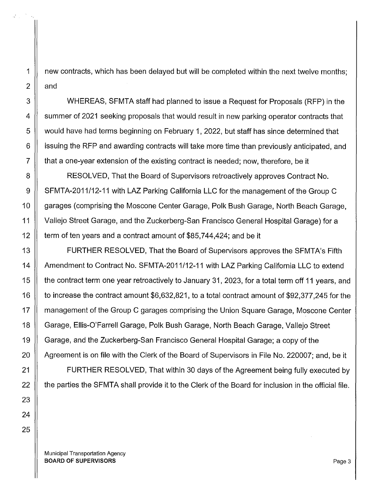23 24 25

1 new contracts, which has been delayed but will be completed within the next twelve months;  $2 \parallel$  and

3 WHEREAS, SFMTA staff had planned to issue a Request for Proposals (RFP) in the 4 || summer of 2021 seeking proposals that would result in new parking operator contracts that 5  $\parallel$  would have had terms beginning on February 1, 2022, but staff has since determined that 6 | issuing the RFP and awarding contracts will take more time than previously anticipated, and  $7 \parallel$  that a one-year extension of the existing contract is needed; now, therefore, be it

8 | RESOLVED, That the Board of Supervisors retroactively approves Contract No. 9 | SFMTA-2011/12-11 with LAZ Parking California LLC for the management of the Group C 10 | garages (comprising the Moscone Center Garage, Polk Bush Garage, North Beach Garage, 11 Vallejo Street Garage, and the Zuckerberg-San Francisco General Hospital Garage) for a 12  $\parallel$  term of ten years and a contract amount of \$85,744,424; and be it

13 ||<br> **13 ||** FURTHER RESOLVED, That the Board of Supervisors approves the SFMTA's Fifth 14 | Amendment to Contract No. SFMTA-2011/12-11 with LAZ Parking California LLC to extend 15 | the contract term one year retroactively to January 31, 2023, for a total term off 11 years, and 16 to increase the contract amount \$6,632,821, to a total contract amount of \$92,377,245 for the 17 | management of the Group C garages comprising the Union Square Garage, Moscone Center 18 | Garage, Ellis-O'Farrell Garage, Polk Bush Garage, North Beach Garage, Vallejo Street 19 | Garage, and the Zuckerberg-San Francisco General Hospital Garage; a copy of the 20 | Agreement is on file with the Clerk of the Board of Supervisors in File No. 220007; and, be it

21 | FURTHER RESOLVED, That within 30 days of the Agreement being fully executed by  $22$   $\parallel$  the parties the SFMTA shall provide it to the Clerk of the Board for inclusion in the official file.

Municipal Transportation Agency BOARD OF SUPERVISORS **Page 3**